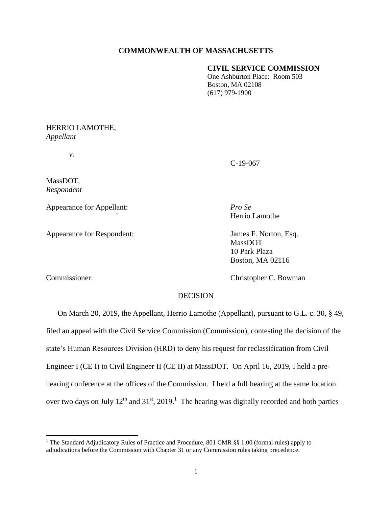#### **COMMONWEALTH OF MASSACHUSETTS**

#### **CIVIL SERVICE COMMISSION**

One Ashburton Place: Room 503 Boston, MA 02108 (617) 979-1900

## HERRIO LAMOTHE, *Appellant*

*v.*

C-19-067

MassDOT, *Respondent*

Appearance for Appellant: *Pro Se*

Appearance for Respondent: James F. Norton, Esq.

MassDOT 10 Park Plaza Boston, MA 02116

*`* Herrio Lamothe

 $\overline{\phantom{a}}$ 

Commissioner: Christopher C. Bowman

### DECISION

 On March 20, 2019, the Appellant, Herrio Lamothe (Appellant), pursuant to G.L. c. 30, § 49, filed an appeal with the Civil Service Commission (Commission), contesting the decision of the state's Human Resources Division (HRD) to deny his request for reclassification from Civil Engineer I (CE I) to Civil Engineer II (CE II) at MassDOT. On April 16, 2019, I held a prehearing conference at the offices of the Commission. I held a full hearing at the same location over two days on July  $12^{th}$  and  $31^{st}$ , 2019.<sup>1</sup> The hearing was digitally recorded and both parties

<sup>&</sup>lt;sup>1</sup> The Standard Adjudicatory Rules of Practice and Procedure, 801 CMR §§ 1.00 (formal rules) apply to adjudications before the Commission with Chapter 31 or any Commission rules taking precedence.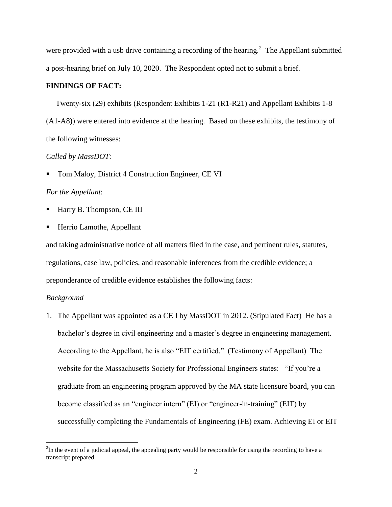were provided with a usb drive containing a recording of the hearing. $2$  The Appellant submitted a post-hearing brief on July 10, 2020. The Respondent opted not to submit a brief.

#### **FINDINGS OF FACT:**

Twenty-six (29) exhibits (Respondent Exhibits 1-21 (R1-R21) and Appellant Exhibits 1-8

(A1-A8)) were entered into evidence at the hearing. Based on these exhibits, the testimony of the following witnesses:

#### *Called by MassDOT*:

Tom Maloy, District 4 Construction Engineer, CE VI

#### *For the Appellant*:

- Harry B. Thompson, CE III
- Herrio Lamothe, Appellant

and taking administrative notice of all matters filed in the case, and pertinent rules, statutes, regulations, case law, policies, and reasonable inferences from the credible evidence; a preponderance of credible evidence establishes the following facts:

#### *Background*

 $\overline{\phantom{a}}$ 

1. The Appellant was appointed as a CE I by MassDOT in 2012. (Stipulated Fact) He has a bachelor's degree in civil engineering and a master's degree in engineering management. According to the Appellant, he is also "EIT certified." (Testimony of Appellant) The website for the Massachusetts Society for Professional Engineers states: "If you're a graduate from an engineering program approved by the MA state licensure board, you can become classified as an "engineer intern" (EI) or "engineer-in-training" (EIT) by successfully completing the Fundamentals of Engineering (FE) exam. Achieving EI or EIT

 $2^2$ In the event of a judicial appeal, the appealing party would be responsible for using the recording to have a transcript prepared.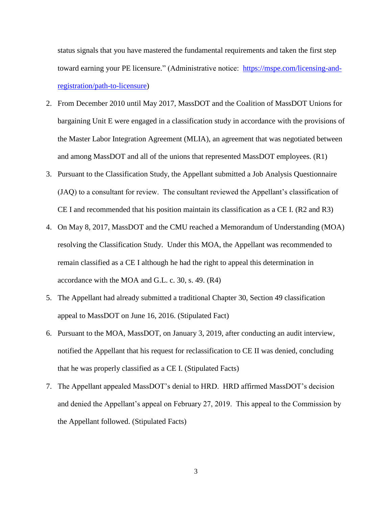status signals that you have mastered the fundamental requirements and taken the first step toward earning your PE licensure." (Administrative notice: [https://mspe.com/licensing-and](https://mspe.com/licensing-and-registration/path-to-licensure)[registration/path-to-licensure\)](https://mspe.com/licensing-and-registration/path-to-licensure)

- 2. From December 2010 until May 2017, MassDOT and the Coalition of MassDOT Unions for bargaining Unit E were engaged in a classification study in accordance with the provisions of the Master Labor Integration Agreement (MLIA), an agreement that was negotiated between and among MassDOT and all of the unions that represented MassDOT employees. (R1)
- 3. Pursuant to the Classification Study, the Appellant submitted a Job Analysis Questionnaire (JAQ) to a consultant for review. The consultant reviewed the Appellant's classification of CE I and recommended that his position maintain its classification as a CE I. (R2 and R3)
- 4. On May 8, 2017, MassDOT and the CMU reached a Memorandum of Understanding (MOA) resolving the Classification Study. Under this MOA, the Appellant was recommended to remain classified as a CE I although he had the right to appeal this determination in accordance with the MOA and G.L. c. 30, s. 49. (R4)
- 5. The Appellant had already submitted a traditional Chapter 30, Section 49 classification appeal to MassDOT on June 16, 2016. (Stipulated Fact)
- 6. Pursuant to the MOA, MassDOT, on January 3, 2019, after conducting an audit interview, notified the Appellant that his request for reclassification to CE II was denied, concluding that he was properly classified as a CE I. (Stipulated Facts)
- 7. The Appellant appealed MassDOT's denial to HRD. HRD affirmed MassDOT's decision and denied the Appellant's appeal on February 27, 2019. This appeal to the Commission by the Appellant followed. (Stipulated Facts)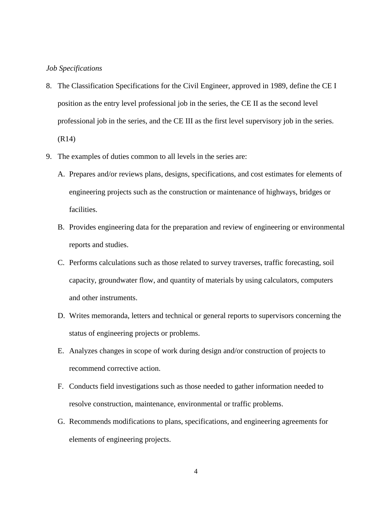#### *Job Specifications*

- 8. The Classification Specifications for the Civil Engineer, approved in 1989, define the CE I position as the entry level professional job in the series, the CE II as the second level professional job in the series, and the CE III as the first level supervisory job in the series. (R14)
- 9. The examples of duties common to all levels in the series are:
	- A. Prepares and/or reviews plans, designs, specifications, and cost estimates for elements of engineering projects such as the construction or maintenance of highways, bridges or facilities.
	- B. Provides engineering data for the preparation and review of engineering or environmental reports and studies.
	- C. Performs calculations such as those related to survey traverses, traffic forecasting, soil capacity, groundwater flow, and quantity of materials by using calculators, computers and other instruments.
	- D. Writes memoranda, letters and technical or general reports to supervisors concerning the status of engineering projects or problems.
	- E. Analyzes changes in scope of work during design and/or construction of projects to recommend corrective action.
	- F. Conducts field investigations such as those needed to gather information needed to resolve construction, maintenance, environmental or traffic problems.
	- G. Recommends modifications to plans, specifications, and engineering agreements for elements of engineering projects.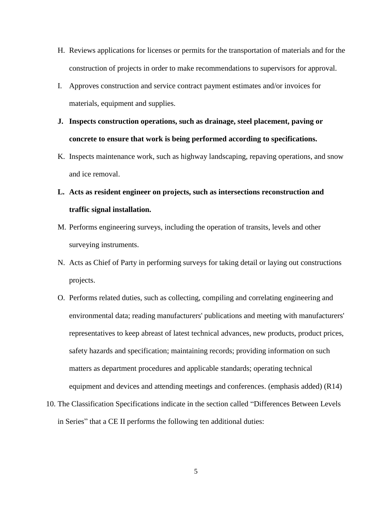- H. Reviews applications for licenses or permits for the transportation of materials and for the construction of projects in order to make recommendations to supervisors for approval.
- I. Approves construction and service contract payment estimates and/or invoices for materials, equipment and supplies.
- **J. Inspects construction operations, such as drainage, steel placement, paving or concrete to ensure that work is being performed according to specifications.**
- K. Inspects maintenance work, such as highway landscaping, repaving operations, and snow and ice removal.

# **L. Acts as resident engineer on projects, such as intersections reconstruction and traffic signal installation.**

- M. Performs engineering surveys, including the operation of transits, levels and other surveying instruments.
- N. Acts as Chief of Party in performing surveys for taking detail or laying out constructions projects.
- O. Performs related duties, such as collecting, compiling and correlating engineering and environmental data; reading manufacturers' publications and meeting with manufacturers' representatives to keep abreast of latest technical advances, new products, product prices, safety hazards and specification; maintaining records; providing information on such matters as department procedures and applicable standards; operating technical equipment and devices and attending meetings and conferences. (emphasis added) (R14)
- 10. The Classification Specifications indicate in the section called "Differences Between Levels in Series" that a CE II performs the following ten additional duties: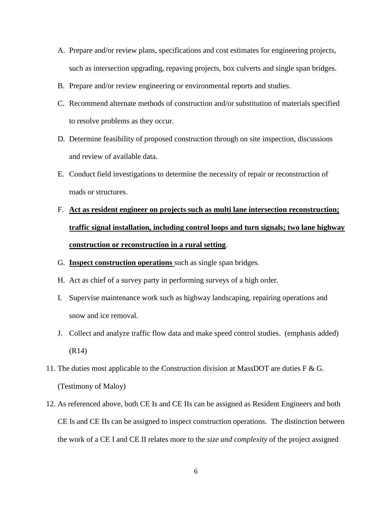- A. Prepare and/or review plans, specifications and cost estimates for engineering projects, such as intersection upgrading, repaving projects, box culverts and single span bridges.
- B. Prepare and/or review engineering or environmental reports and studies.
- C. Recommend alternate methods of construction and/or substitution of materials specified to resolve problems as they occur.
- D. Determine feasibility of proposed construction through on site inspection, discussions and review of available data.
- E. Conduct field investigations to determine the necessity of repair or reconstruction of roads or structures.

# F. **Act as resident engineer on projects such as multi lane intersection reconstruction; traffic signal installation, including control loops and turn signals; two lane highway construction or reconstruction in a rural setting**.

- G. **Inspect construction operations** such as single span bridges.
- H. Act as chief of a survey party in performing surveys of a high order.
- I. Supervise maintenance work such as highway landscaping, repairing operations and snow and ice removal.
- J. Collect and analyze traffic flow data and make speed control studies. (emphasis added) (R14)
- 11. The duties most applicable to the Construction division at MassDOT are duties  $F \& G$ . (Testimony of Maloy)
- 12. As referenced above, both CE Is and CE IIs can be assigned as Resident Engineers and both CE Is and CE IIs can be assigned to inspect construction operations. The distinction between the work of a CE I and CE II relates more to the *size and complexity* of the project assigned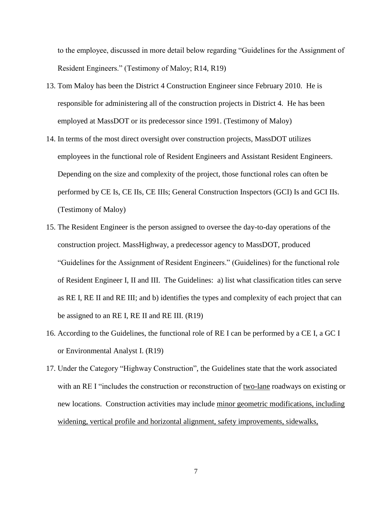to the employee, discussed in more detail below regarding "Guidelines for the Assignment of Resident Engineers." (Testimony of Maloy; R14, R19)

- 13. Tom Maloy has been the District 4 Construction Engineer since February 2010. He is responsible for administering all of the construction projects in District 4. He has been employed at MassDOT or its predecessor since 1991. (Testimony of Maloy)
- 14. In terms of the most direct oversight over construction projects, MassDOT utilizes employees in the functional role of Resident Engineers and Assistant Resident Engineers. Depending on the size and complexity of the project, those functional roles can often be performed by CE Is, CE IIs, CE IIIs; General Construction Inspectors (GCI) Is and GCI IIs. (Testimony of Maloy)
- 15. The Resident Engineer is the person assigned to oversee the day-to-day operations of the construction project. MassHighway, a predecessor agency to MassDOT, produced "Guidelines for the Assignment of Resident Engineers." (Guidelines) for the functional role of Resident Engineer I, II and III. The Guidelines: a) list what classification titles can serve as RE I, RE II and RE III; and b) identifies the types and complexity of each project that can be assigned to an RE I, RE II and RE III. (R19)
- 16. According to the Guidelines, the functional role of RE I can be performed by a CE I, a GC I or Environmental Analyst I. (R19)
- 17. Under the Category "Highway Construction", the Guidelines state that the work associated with an RE I "includes the construction or reconstruction of two-lane roadways on existing or new locations. Construction activities may include minor geometric modifications, including widening, vertical profile and horizontal alignment, safety improvements, sidewalks,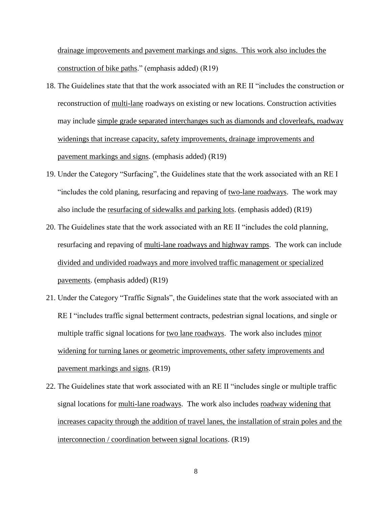drainage improvements and pavement markings and signs. This work also includes the construction of bike paths." (emphasis added) (R19)

- 18. The Guidelines state that that the work associated with an RE II "includes the construction or reconstruction of multi-lane roadways on existing or new locations. Construction activities may include simple grade separated interchanges such as diamonds and cloverleafs, roadway widenings that increase capacity, safety improvements, drainage improvements and pavement markings and signs. (emphasis added) (R19)
- 19. Under the Category "Surfacing", the Guidelines state that the work associated with an RE I "includes the cold planing, resurfacing and repaving of two-lane roadways. The work may also include the resurfacing of sidewalks and parking lots. (emphasis added) (R19)
- 20. The Guidelines state that the work associated with an RE II "includes the cold planning, resurfacing and repaving of multi-lane roadways and highway ramps. The work can include divided and undivided roadways and more involved traffic management or specialized pavements. (emphasis added) (R19)
- 21. Under the Category "Traffic Signals", the Guidelines state that the work associated with an RE I "includes traffic signal betterment contracts, pedestrian signal locations, and single or multiple traffic signal locations for two lane roadways. The work also includes minor widening for turning lanes or geometric improvements, other safety improvements and pavement markings and signs. (R19)
- 22. The Guidelines state that work associated with an RE II "includes single or multiple traffic signal locations for multi-lane roadways. The work also includes roadway widening that increases capacity through the addition of travel lanes, the installation of strain poles and the interconnection / coordination between signal locations. (R19)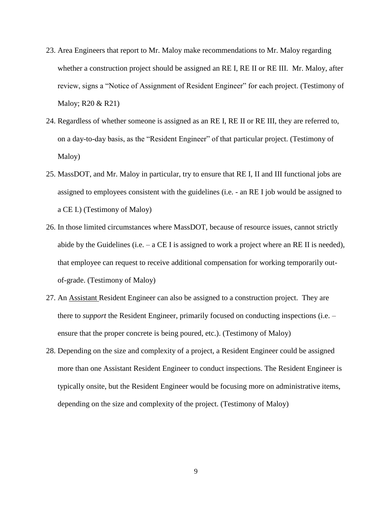- 23. Area Engineers that report to Mr. Maloy make recommendations to Mr. Maloy regarding whether a construction project should be assigned an RE I, RE II or RE III. Mr. Maloy, after review, signs a "Notice of Assignment of Resident Engineer" for each project. (Testimony of Maloy; R20 & R21)
- 24. Regardless of whether someone is assigned as an RE I, RE II or RE III, they are referred to, on a day-to-day basis, as the "Resident Engineer" of that particular project. (Testimony of Maloy)
- 25. MassDOT, and Mr. Maloy in particular, try to ensure that RE I, II and III functional jobs are assigned to employees consistent with the guidelines (i.e. - an RE I job would be assigned to a CE I.) (Testimony of Maloy)
- 26. In those limited circumstances where MassDOT, because of resource issues, cannot strictly abide by the Guidelines (i.e.  $-$  a CE I is assigned to work a project where an RE II is needed), that employee can request to receive additional compensation for working temporarily outof-grade. (Testimony of Maloy)
- 27. An Assistant Resident Engineer can also be assigned to a construction project. They are there to *support* the Resident Engineer, primarily focused on conducting inspections (i.e. – ensure that the proper concrete is being poured, etc.). (Testimony of Maloy)
- 28. Depending on the size and complexity of a project, a Resident Engineer could be assigned more than one Assistant Resident Engineer to conduct inspections. The Resident Engineer is typically onsite, but the Resident Engineer would be focusing more on administrative items, depending on the size and complexity of the project. (Testimony of Maloy)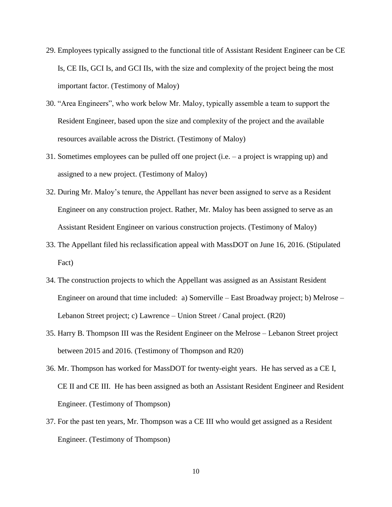- 29. Employees typically assigned to the functional title of Assistant Resident Engineer can be CE Is, CE IIs, GCI Is, and GCI IIs, with the size and complexity of the project being the most important factor. (Testimony of Maloy)
- 30. "Area Engineers", who work below Mr. Maloy, typically assemble a team to support the Resident Engineer, based upon the size and complexity of the project and the available resources available across the District. (Testimony of Maloy)
- 31. Sometimes employees can be pulled off one project (i.e. a project is wrapping up) and assigned to a new project. (Testimony of Maloy)
- 32. During Mr. Maloy's tenure, the Appellant has never been assigned to serve as a Resident Engineer on any construction project. Rather, Mr. Maloy has been assigned to serve as an Assistant Resident Engineer on various construction projects. (Testimony of Maloy)
- 33. The Appellant filed his reclassification appeal with MassDOT on June 16, 2016. (Stipulated Fact)
- 34. The construction projects to which the Appellant was assigned as an Assistant Resident Engineer on around that time included: a) Somerville – East Broadway project; b) Melrose – Lebanon Street project; c) Lawrence – Union Street / Canal project. (R20)
- 35. Harry B. Thompson III was the Resident Engineer on the Melrose Lebanon Street project between 2015 and 2016. (Testimony of Thompson and R20)
- 36. Mr. Thompson has worked for MassDOT for twenty-eight years. He has served as a CE I, CE II and CE III. He has been assigned as both an Assistant Resident Engineer and Resident Engineer. (Testimony of Thompson)
- 37. For the past ten years, Mr. Thompson was a CE III who would get assigned as a Resident Engineer. (Testimony of Thompson)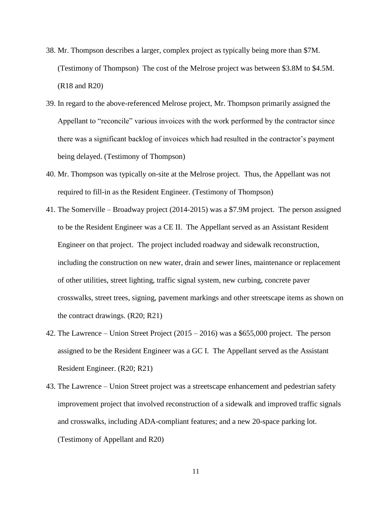- 38. Mr. Thompson describes a larger, complex project as typically being more than \$7M. (Testimony of Thompson) The cost of the Melrose project was between \$3.8M to \$4.5M. (R18 and R20)
- 39. In regard to the above-referenced Melrose project, Mr. Thompson primarily assigned the Appellant to "reconcile" various invoices with the work performed by the contractor since there was a significant backlog of invoices which had resulted in the contractor's payment being delayed. (Testimony of Thompson)
- 40. Mr. Thompson was typically on-site at the Melrose project. Thus, the Appellant was not required to fill-in as the Resident Engineer. (Testimony of Thompson)
- 41. The Somerville Broadway project (2014-2015) was a \$7.9M project. The person assigned to be the Resident Engineer was a CE II. The Appellant served as an Assistant Resident Engineer on that project. The project included roadway and sidewalk reconstruction, including the construction on new water, drain and sewer lines, maintenance or replacement of other utilities, street lighting, traffic signal system, new curbing, concrete paver crosswalks, street trees, signing, pavement markings and other streetscape items as shown on the contract drawings. (R20; R21)
- 42. The Lawrence Union Street Project  $(2015 2016)$  was a \$655,000 project. The person assigned to be the Resident Engineer was a GC I. The Appellant served as the Assistant Resident Engineer. (R20; R21)
- 43. The Lawrence Union Street project was a streetscape enhancement and pedestrian safety improvement project that involved reconstruction of a sidewalk and improved traffic signals and crosswalks, including ADA-compliant features; and a new 20-space parking lot. (Testimony of Appellant and R20)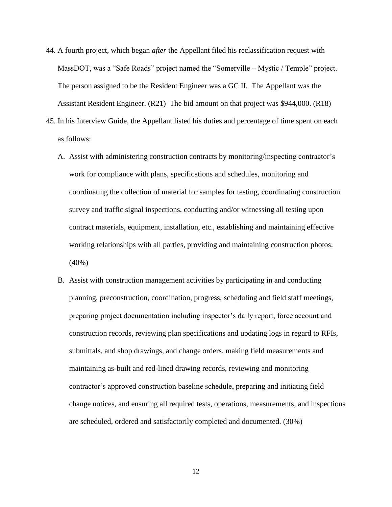- 44. A fourth project, which began *after* the Appellant filed his reclassification request with MassDOT, was a "Safe Roads" project named the "Somerville – Mystic / Temple" project. The person assigned to be the Resident Engineer was a GC II. The Appellant was the Assistant Resident Engineer. (R21) The bid amount on that project was \$944,000. (R18)
- 45. In his Interview Guide, the Appellant listed his duties and percentage of time spent on each as follows:
	- A. Assist with administering construction contracts by monitoring/inspecting contractor's work for compliance with plans, specifications and schedules, monitoring and coordinating the collection of material for samples for testing, coordinating construction survey and traffic signal inspections, conducting and/or witnessing all testing upon contract materials, equipment, installation, etc., establishing and maintaining effective working relationships with all parties, providing and maintaining construction photos. (40%)
	- B. Assist with construction management activities by participating in and conducting planning, preconstruction, coordination, progress, scheduling and field staff meetings, preparing project documentation including inspector's daily report, force account and construction records, reviewing plan specifications and updating logs in regard to RFIs, submittals, and shop drawings, and change orders, making field measurements and maintaining as-built and red-lined drawing records, reviewing and monitoring contractor's approved construction baseline schedule, preparing and initiating field change notices, and ensuring all required tests, operations, measurements, and inspections are scheduled, ordered and satisfactorily completed and documented. (30%)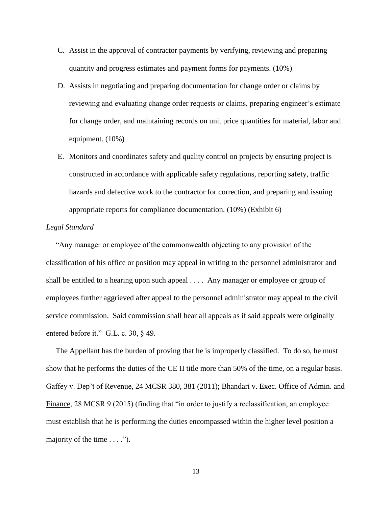- C. Assist in the approval of contractor payments by verifying, reviewing and preparing quantity and progress estimates and payment forms for payments. (10%)
- D. Assists in negotiating and preparing documentation for change order or claims by reviewing and evaluating change order requests or claims, preparing engineer's estimate for change order, and maintaining records on unit price quantities for material, labor and equipment. (10%)
- E. Monitors and coordinates safety and quality control on projects by ensuring project is constructed in accordance with applicable safety regulations, reporting safety, traffic hazards and defective work to the contractor for correction, and preparing and issuing appropriate reports for compliance documentation. (10%) (Exhibit 6)

#### *Legal Standard*

 "Any manager or employee of the commonwealth objecting to any provision of the classification of his office or position may appeal in writing to the personnel administrator and shall be entitled to a hearing upon such appeal . . . . Any manager or employee or group of employees further aggrieved after appeal to the personnel administrator may appeal to the civil service commission. Said commission shall hear all appeals as if said appeals were originally entered before it." G.L. c. 30, § 49.

 The Appellant has the burden of proving that he is improperly classified. To do so, he must show that he performs the duties of the CE II title more than 50% of the time, on a regular basis. Gaffey v. Dep't of Revenue, 24 MCSR 380, 381 (2011); Bhandari v. Exec. Office of Admin. and Finance, 28 MCSR 9 (2015) (finding that "in order to justify a reclassification, an employee must establish that he is performing the duties encompassed within the higher level position a majority of the time  $\dots$ .").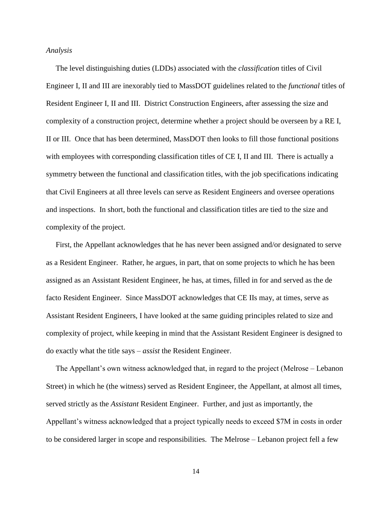#### *Analysis*

 The level distinguishing duties (LDDs) associated with the *classification* titles of Civil Engineer I, II and III are inexorably tied to MassDOT guidelines related to the *functional* titles of Resident Engineer I, II and III. District Construction Engineers, after assessing the size and complexity of a construction project, determine whether a project should be overseen by a RE I, II or III. Once that has been determined, MassDOT then looks to fill those functional positions with employees with corresponding classification titles of CE I, II and III. There is actually a symmetry between the functional and classification titles, with the job specifications indicating that Civil Engineers at all three levels can serve as Resident Engineers and oversee operations and inspections. In short, both the functional and classification titles are tied to the size and complexity of the project.

 First, the Appellant acknowledges that he has never been assigned and/or designated to serve as a Resident Engineer. Rather, he argues, in part, that on some projects to which he has been assigned as an Assistant Resident Engineer, he has, at times, filled in for and served as the de facto Resident Engineer. Since MassDOT acknowledges that CE IIs may, at times, serve as Assistant Resident Engineers, I have looked at the same guiding principles related to size and complexity of project, while keeping in mind that the Assistant Resident Engineer is designed to do exactly what the title says – *assist* the Resident Engineer.

 The Appellant's own witness acknowledged that, in regard to the project (Melrose – Lebanon Street) in which he (the witness) served as Resident Engineer, the Appellant, at almost all times, served strictly as the *Assistant* Resident Engineer. Further, and just as importantly, the Appellant's witness acknowledged that a project typically needs to exceed \$7M in costs in order to be considered larger in scope and responsibilities. The Melrose – Lebanon project fell a few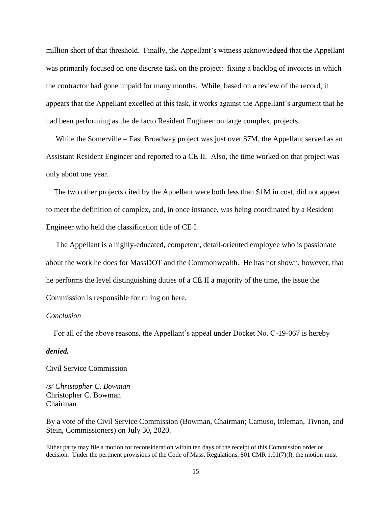million short of that threshold. Finally, the Appellant's witness acknowledged that the Appellant was primarily focused on one discrete task on the project: fixing a backlog of invoices in which the contractor had gone unpaid for many months. While, based on a review of the record, it appears that the Appellant excelled at this task, it works against the Appellant's argument that he had been performing as the de facto Resident Engineer on large complex, projects.

While the Somerville – East Broadway project was just over \$7M, the Appellant served as an Assistant Resident Engineer and reported to a CE II. Also, the time worked on that project was only about one year.

 The two other projects cited by the Appellant were both less than \$1M in cost, did not appear to meet the definition of complex, and, in once instance, was being coordinated by a Resident Engineer who held the classification title of CE I.

 The Appellant is a highly-educated, competent, detail-oriented employee who is passionate about the work he does for MassDOT and the Commonwealth. He has not shown, however, that he performs the level distinguishing duties of a CE II a majority of the time, the issue the Commission is responsible for ruling on here.

#### *Conclusion*

For all of the above reasons, the Appellant's appeal under Docket No. C-19-067 is hereby

#### *denied.*

Civil Service Commission

*/s/ Christopher C. Bowman*  Christopher C. Bowman Chairman

By a vote of the Civil Service Commission (Bowman, Chairman; Camuso, Ittleman, Tivnan, and Stein, Commissioners) on July 30, 2020.

Either party may file a motion for reconsideration within ten days of the receipt of this Commission order or decision. Under the pertinent provisions of the Code of Mass. Regulations, 801 CMR 1.01(7)(1), the motion must